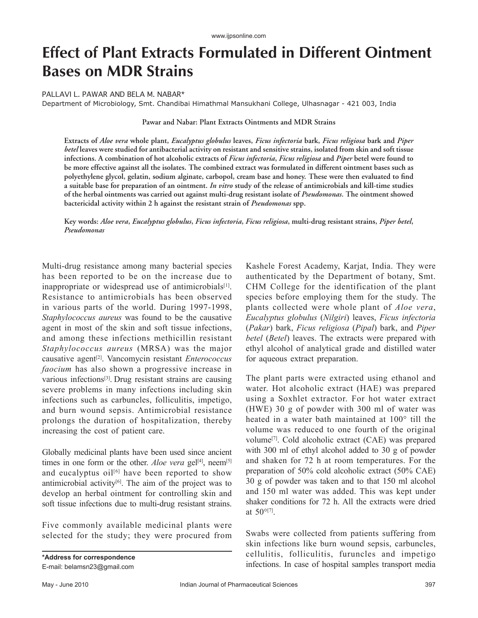# **Effect of Plant Extracts Formulated in Different Ointment Bases on MDR Strains**

## PALLAVI L. PAWAR AND BELA M. NABAR\*

Department of Microbiology, Smt. Chandibai Himathmal Mansukhani College, Ulhasnagar - 421 003, India

### **Pawar and Nabar: Plant Extracts Ointments and MDR Strains**

**Extracts of** *Aloe vera* **whole plant,** *Eucalyptus globulus* **leaves,** *Ficus infectoria* **bark,** *Ficus religiosa* **bark and** *Piper betel* **leaves were studied for antibacterial activity on resistant and sensitive strains, isolated from skin and soft tissue infections. A combination of hot alcoholic extracts of** *Ficus infectoria***,** *Ficus religiosa* **and** *Piper* **betel were found to be more effective against all the isolates. The combined extract was formulated in different ointment bases such as**  polyethylene glycol, gelatin, sodium alginate, carbopol, cream base and honey. These were then evaluated to find **a suitable base for preparation of an ointment.** *In vitro* **study of the release of antimicrobials and kill-time studies of the herbal ointments was carried out against multi-drug resistant isolate of** *Pseudomonas***. The ointment showed bactericidal activity within 2 h against the resistant strain of** *Pseudomonas* **spp.**

**Key words:** *Aloe vera***,** *Eucalyptus globulus***,** *Ficus infectoria***,** *Ficus religiosa***, multi-drug resistant strains,** *Piper betel***,**  *Pseudomonas*

Multi-drug resistance among many bacterial species has been reported to be on the increase due to inappropriate or widespread use of antimicrobials<sup>[1]</sup>. Resistance to antimicrobials has been observed in various parts of the world. During 1997-1998, *Staphylococcus aureus* was found to be the causative agent in most of the skin and soft tissue infections, and among these infections methicillin resistant *Staphylococcus aureus* (MRSA) was the major causative agent[2]. Vancomycin resistant *Enterococcus faocium* has also shown a progressive increase in various infections[3]. Drug resistant strains are causing severe problems in many infections including skin infections such as carbuncles, folliculitis, impetigo, and burn wound sepsis. Antimicrobial resistance prolongs the duration of hospitalization, thereby increasing the cost of patient care.

Globally medicinal plants have been used since ancient times in one form or the other. *Aloe vera* gel<sup>[4]</sup>, neem<sup>[5]</sup> and eucalyptus  $\delta u^{[(6]}$  have been reported to show antimicrobial activity $[6]$ . The aim of the project was to develop an herbal ointment for controlling skin and soft tissue infections due to multi-drug resistant strains.

Five commonly available medicinal plants were selected for the study; they were procured from

Kashele Forest Academy, Karjat, India. They were authenticated by the Department of botany, Smt. CHM College for the identification of the plant species before employing them for the study. The plants collected were whole plant of *Aloe vera*, *Eucalyptus globulus* (*Nilgiri*) leaves, *Ficus infectoria* (*Pakar*) bark, *Ficus religiosa* (*Pipal*) bark, and *Piper betel* (*Betel*) leaves. The extracts were prepared with ethyl alcohol of analytical grade and distilled water for aqueous extract preparation.

The plant parts were extracted using ethanol and water. Hot alcoholic extract (HAE) was prepared using a Soxhlet extractor. For hot water extract (HWE) 30 g of powder with 300 ml of water was heated in a water bath maintained at 100° till the volume was reduced to one fourth of the original volume[7]. Cold alcoholic extract (CAE) was prepared with 300 ml of ethyl alcohol added to 30 g of powder and shaken for 72 h at room temperatures. For the preparation of 50% cold alcoholic extract (50% CAE) 30 g of powder was taken and to that 150 ml alcohol and 150 ml water was added. This was kept under shaker conditions for 72 h. All the extracts were dried at 50°[7].

Swabs were collected from patients suffering from skin infections like burn wound sepsis, carbuncles, cellulitis, folliculitis, furuncles and impetigo infections. In case of hospital samples transport media

**<sup>\*</sup>Address for correspondence** E-mail: belamsn23@gmail.com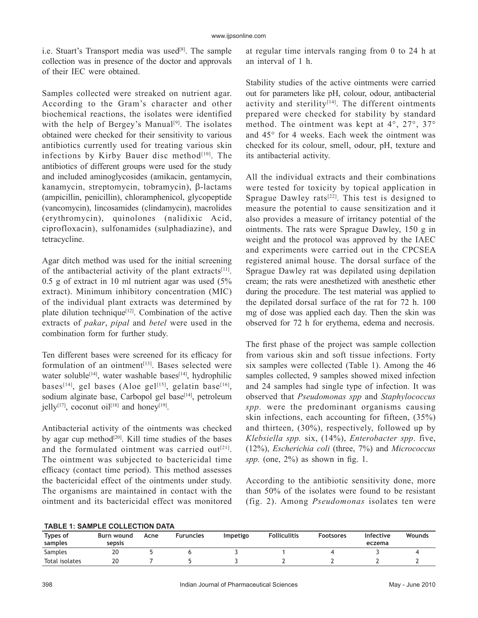i.e. Stuart's Transport media was used<sup>[8]</sup>. The sample collection was in presence of the doctor and approvals of their IEC were obtained.

Samples collected were streaked on nutrient agar. According to the Gram's character and other biochemical reactions, the isolates were identified with the help of Bergey's Manual<sup>[9]</sup>. The isolates obtained were checked for their sensitivity to various antibiotics currently used for treating various skin infections by Kirby Bauer disc method $[10]$ . The antibiotics of different groups were used for the study and included aminoglycosides (amikacin, gentamycin,  $kanamycin, streptomycin, to bramycin,  $\beta$ -lactams$ (ampicillin, penicillin), chloramphenicol, glycopeptide (vancomycin), lincosamides (clindamycin), macrolides (erythromycin), quinolones (nalidixic Acid, ciprofloxacin), sulfonamides (sulphadiazine), and tetracycline.

Agar ditch method was used for the initial screening of the antibacterial activity of the plant extracts<sup>[11]</sup>. 0.5 g of extract in 10 ml nutrient agar was used (5% extract). Minimum inhibitory concentration (MIC) of the individual plant extracts was determined by plate dilution technique<sup>[12]</sup>. Combination of the active extracts of *pakar*, *pipal* and *betel* were used in the combination form for further study.

Ten different bases were screened for its efficacy for formulation of an ointment<sup>[13]</sup>. Bases selected were water soluble<sup>[14]</sup>, water washable bases<sup>[14]</sup>, hydrophilic bases<sup>[14]</sup>, gel bases (Aloe gel<sup>[15]</sup>, gelatin base<sup>[16]</sup>, sodium alginate base, Carbopol gel base<sup>[14]</sup>, petroleum jelly<sup>[17]</sup>, coconut oil<sup>[18]</sup> and honey<sup>[19]</sup>.

Antibacterial activity of the ointments was checked by agar cup method<sup>[20]</sup>. Kill time studies of the bases and the formulated ointment was carried out $[21]$ . The ointment was subjected to bactericidal time efficacy (contact time period). This method assesses the bactericidal effect of the ointments under study. The organisms are maintained in contact with the ointment and its bactericidal effect was monitored at regular time intervals ranging from 0 to 24 h at an interval of 1 h.

Stability studies of the active ointments were carried out for parameters like pH, colour, odour, antibacterial activity and sterility $[14]$ . The different ointments prepared were checked for stability by standard method. The ointment was kept at 4°, 27°, 37° and 45° for 4 weeks. Each week the ointment was checked for its colour, smell, odour, pH, texture and its antibacterial activity.

All the individual extracts and their combinations were tested for toxicity by topical application in Sprague Dawley rats $[22]$ . This test is designed to measure the potential to cause sensitization and it also provides a measure of irritancy potential of the ointments. The rats were Sprague Dawley, 150 g in weight and the protocol was approved by the IAEC and experiments were carried out in the CPCSEA registered animal house. The dorsal surface of the Sprague Dawley rat was depilated using depilation cream; the rats were anesthetized with anesthetic ether during the procedure. The test material was applied to the depilated dorsal surface of the rat for 72 h. 100 mg of dose was applied each day. Then the skin was observed for 72 h for erythema, edema and necrosis.

The first phase of the project was sample collection from various skin and soft tissue infections. Forty six samples were collected (Table 1). Among the 46 samples collected, 9 samples showed mixed infection and 24 samples had single type of infection. It was observed that *Pseudomonas spp* and *Staphylococcus spp.* were the predominant organisms causing skin infections, each accounting for fifteen, (35%) and thirteen, (30%), respectively, followed up by *Klebsiella spp.* six, (14%), *Enterobacter spp*. five, (12%), *Escherichia coli* (three, 7%) and *Micrococcus*   $spp.$  (one,  $2\%$ ) as shown in fig. 1.

According to the antibiotic sensitivity done, more than 50% of the isolates were found to be resistant (fig. 2). Among *Pseudomonas* isolates ten were

## **TABLE 1: SAMPLE COLLECTION DATA**

| Types of       | Burn wound | Acne | <b>Furuncles</b> | Impetigo | <b>Folliculitis</b> | <b>Footsores</b> | Infective | <b>Wounds</b> |  |  |
|----------------|------------|------|------------------|----------|---------------------|------------------|-----------|---------------|--|--|
| samples        | sepsis     |      |                  |          |                     |                  | eczema    |               |  |  |
| Samples        | 20         |      |                  |          |                     |                  |           |               |  |  |
| Total isolates | 20         |      |                  |          |                     |                  |           |               |  |  |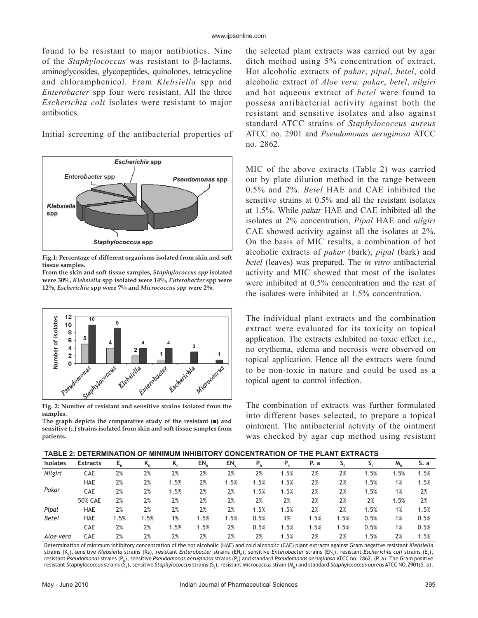found to be resistant to major antibiotics. Nine of the *Staphylococcus* was resistant to  $\beta$ -lactams, aminoglycosides, glycopeptides, quinolones, tetracycline and chloramphenicol. From *Klebsiella* spp and *Enterobacter* spp four were resistant. All the three *Escherichia coli* isolates were resistant to major antibiotics.

Initial screening of the antibacterial properties of



**Fig.1: Percentage of different organisms isolated from skin and soft tissue samples.** 

**From the skin and soft tissue samples,** *Staphylococcus spp* **isolated were 30%,** *Klebsiella* **spp isolated were 14%,** *Enterobacter* **spp were 12%,** *Escherichia* **spp were 7% and** *Micrococcus spp* **were 2%.**



**samples.**

**The graph depicts the comparative study of the resistant (■) and sensitive (□) strains isolated from skin and soft tissue samples from patients.**

the selected plant extracts was carried out by agar ditch method using 5% concentration of extract. Hot alcoholic extracts of *pakar*, *pipal*, *betel*, cold alcoholic extract of *Aloe vera, pakar*, *betel*, *nilgiri* and hot aqueous extract of *betel* were found to possess antibacterial activity against both the resistant and sensitive isolates and also against standard ATCC strains of *Staphylococcus aureus* ATCC no. 2901 and *Pseudomonas aeruginosa* ATCC no. 2862.

MIC of the above extracts (Table 2) was carried out by plate dilution method in the range between 0.5% and 2%. *Betel* HAE and CAE inhibited the sensitive strains at 0.5% and all the resistant isolates at 1.5%. While *pakar* HAE and CAE inhibited all the isolates at 2% concentration, *Pipal* HAE and *nilgiri*  CAE showed activity against all the isolates at 2%. On the basis of MIC results, a combination of hot alcoholic extracts of *pakar* (bark), *pipal* (bark) and *betel* (leaves) was prepared. The *in vitro* antibacterial activity and MIC showed that most of the isolates were inhibited at 0.5% concentration and the rest of the isolates were inhibited at 1.5% concentration.

The individual plant extracts and the combination extract were evaluated for its toxicity on topical application. The extracts exhibited no toxic effect i.e., no erythema, edema and necrosis were observed on topical application. Hence all the extracts were found to be non-toxic in nature and could be used as a topical agent to control infection.

The combination of extracts was further formulated into different bases selected, to prepare a topical ointment. The antibacterial activity of the ointment was checked by agar cup method using resistant

| <br>$11121$ $2711$ $2711$ |                 |      |         |      |                 |      |      |      |      |      |      |      |      |
|---------------------------|-----------------|------|---------|------|-----------------|------|------|------|------|------|------|------|------|
| <b>Isolates</b>           | <b>Extracts</b> | Е.   | $K_{R}$ | ĸ,   | EN <sub>o</sub> | EN.  | Р,   | Ρ.   | P. a |      |      | M,   | S. a |
| Nilgiri                   | CAE             | 2%   | 2%      | 2%   | 2%              | 2%   | 2%   | 1.5% | 2%   | 2%   | .5%  | 1.5% | 1.5% |
|                           | <b>HAE</b>      | 2%   | 2%      | 1.5% | 2%              | 1.5% | 1.5% | 1.5% | 2%   | 2%   | 1.5% | 1%   | 1.5% |
| Pakar                     | <b>CAE</b>      | 2%   | 2%      | 1.5% | 2%              | 2%   | 1.5% | 1.5% | 2%   | 2%   | 1.5% | 1%   | 2%   |
|                           | 50% CAE         | 2%   | 2%      | 2%   | 2%              | 2%   | 2%   | 2%   | 2%   | 2%   | 2%   | 1.5% | 2%   |
| Pipal                     | <b>HAE</b>      | 2%   | 2%      | 2%   | 2%              | 2%   | 1.5% | 1.5% | 2%   | 2%   | 1.5% | 1%   | 1.5% |
| <b>Betel</b>              | <b>HAE</b>      | 1.5% | 1.5%    | 1%   | 1.5%            | 1.5% | 0.5% | 1%   | 1.5% | 1.5% | 0.5% | 1%   | 0.5% |
|                           | <b>CAE</b>      | 2%   | 2%      | 1.5% | 1.5%            | 2%   | 0.5% | 1.5% | 1.5% | 1.5% | 0.5% | 1%   | 0.5% |
| Aloe vera                 | <b>CAE</b>      | 2%   | 2%      | 2%   | 2%              | 2%   | 2%   | 1.5% | 2%   | 2%   | 1.5% | 2%   | 1.5% |

Determination of minimum inhibitory concentration of the hot alcoholic (HAE) and cold alcoholic (CAE) plant extracts against Gram negative resistant *Klebsiella* strains (K<sub>R</sub>), sensitive *Klebsiella* strains (Ks), resistant *Enterobacter s*trains (EN<sub>R</sub>), sensitive *Enterobacter s*trains (EN<sub>S</sub>), resistant *Escherichia coli str*ains (E<sub>R</sub>), resistant *Pseudomonas* strains (P<sub>R</sub>), sensitive *Pseudomonas aeruginosa* strains (P<sub>s</sub>) and standard *Pseudomonas aeruginosa* ATCC no. 2862. (P. a). The Gram positive resistant *Staphylococcus* strains (S<sub>R</sub>), sensitive *Staphylococcus* strains (S<sub>s</sub>), resistant *Micrococcus* strain (M<sub>R</sub>) and standard *Staphylococcus aureus* ATCC NO.2901(S. *a*).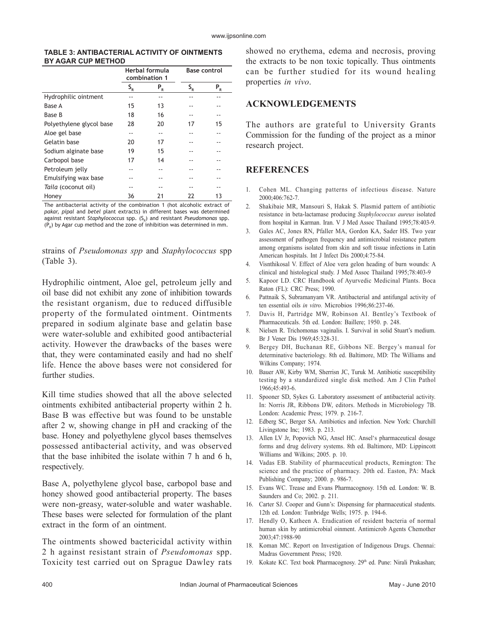#### **TABLE 3: ANTIBACTERIAL ACTIVITY OF OINTMENTS BY AGAR CUP METHOD**

|                          |                 | Herbal formula<br>combination 1 | <b>Base control</b>       |       |  |
|--------------------------|-----------------|---------------------------------|---------------------------|-------|--|
|                          | $S_R^{\dagger}$ | $P_R$                           | $\mathsf{S}_{\mathsf{R}}$ | $P_R$ |  |
| Hydrophilic ointment     |                 |                                 |                           |       |  |
| Base A                   | 15              | 13                              |                           |       |  |
| Base B                   | 18              | 16                              | --                        |       |  |
| Polyethylene glycol base | 28              | 20                              | 17                        | 15    |  |
| Aloe gel base            |                 |                                 |                           |       |  |
| Gelatin base             | 20              | 17                              |                           |       |  |
| Sodium alginate base     | 19              | 15                              |                           |       |  |
| Carbopol base            | 17              | 14                              |                           |       |  |
| Petroleum jelly          |                 |                                 |                           |       |  |
| Emulsifying wax base     |                 |                                 |                           |       |  |
| Taila (coconut oil)      |                 | --                              | --                        |       |  |
| Honey                    | 36              | 21                              | 22                        | 13    |  |

The antibacterial activity of the combination 1 (hot alcoholic extract of *pakar, pipal* and *betel* plant extracts) in different bases was determined against resistant *Staphylococcus* spp. (S<sub>R</sub>) and resistant *Pseudomonas* spp.  $(P_n)$  by Agar cup method and the zone of inhibition was determined in mm.

strains of *Pseudomonas spp* and *Staphylococcus* spp (Table 3).

Hydrophilic ointment, Aloe gel, petroleum jelly and oil base did not exhibit any zone of inhibition towards the resistant organism, due to reduced diffusible property of the formulated ointment. Ointments prepared in sodium alginate base and gelatin base were water-soluble and exhibited good antibacterial activity. However the drawbacks of the bases were that, they were contaminated easily and had no shelf life. Hence the above bases were not considered for further studies.

Kill time studies showed that all the above selected ointments exhibited antibacterial property within 2 h. Base B was effective but was found to be unstable after 2 w, showing change in pH and cracking of the base. Honey and polyethylene glycol bases themselves possessed antibacterial activity, and was observed that the base inhibited the isolate within 7 h and 6 h, respectively.

Base A, polyethylene glycol base, carbopol base and honey showed good antibacterial property. The bases were non-greasy, water-soluble and water washable. These bases were selected for formulation of the plant extract in the form of an ointment.

The ointments showed bactericidal activity within 2 h against resistant strain of *Pseudomonas* spp. Toxicity test carried out on Sprague Dawley rats showed no erythema, edema and necrosis, proving the extracts to be non toxic topically. Thus ointments can be further studied for its wound healing properties *in vivo*.

# **ACKNOWLEDGEMENTS**

The authors are grateful to University Grants Commission for the funding of the project as a minor research project.

# **REFERENCES**

- 1. Cohen ML. Changing patterns of infectious disease. Nature 2000;406:762-7.
- 2. Shakibaie MR, Mansouri S, Hakak S. Plasmid pattern of antibiotic resistance in beta-lactamase producing *Staphylococcus aureus* isolated from hospital in Karman. Iran. V J Med Assoc Thailand 1995;78:403-9.
- 3. Gales AC, Jones RN, Pfaller MA, Gordon KA, Sader HS. Two year assessment of pathogen frequency and antimicrobial resistance pattern among organisms isolated from skin and soft tissue infections in Latin American hospitals. Int J Infect Dis 2000;4:75-84.
- 4. Visnthikosal V. Effect of Aloe vera gelon heading of burn wounds: A clinical and histological study. J Med Assoc Thailand 1995;78:403-9
- 5. Kapoor LD. CRC Handbook of Ayurvedic Medicinal Plants. Boca Raton (FL): CRC Press; 1990.
- 6. Pattnaik S, Subramanyam VR. Antibacterial and antifungal activity of ten essential oils *in vitro.* Microbios 1996;86:237-46.
- 7. Davis H, Partridge MW, Robinson AI. Bentley's Textbook of Pharmaceuticals. 5th ed. London: Baillere; 1950. p. 248.
- 8. Nielsen R. Trichomonas vaginalis. I. Survival in solid Stuart's medium. Br J Vener Dis 1969;45:328-31.
- 9. Bergey DH, Buchanan RE, Gibbons NE. Bergey's manual for determinative bacteriology. 8th ed. Baltimore, MD: The Williams and Wilkins Company; 1974.
- 10. Bauer AW, Kirby WM, Sherrisn JC, Turuk M. Antibiotic susceptibility testing by a standardized single disk method. Am J Clin Pathol 1966;45:493-6.
- 11. Spooner SD, Sykes G. Laboratory assessment of antibacterial activity. In: Norris JR, Ribbons DW, editors. Methods in Microbiology 7B. London: Academic Press; 1979. p. 216-7.
- 12. Edberg SC, Berger SA. Antibiotics and infection. New York: Churchill Livingstone Inc; 1983. p. 213.
- 13. Allen LV Jr, Popovich NG, Ansel HC. Ansel's pharmaceutical dosage forms and drug delivery systems. 8th ed. Baltimore, MD: Lippincott Williams and Wilkins; 2005. p. 10.
- 14. Vadas EB. Stability of pharmaceutical products, Remington: The science and the practice of pharmacy. 20th ed. Easton, PA: Mack Publishing Company; 2000. p. 986-7.
- 15. Evans WC. Trease and Evans Pharmacognosy. 15th ed. London: W. B. Saunders and Co; 2002. p. 211.
- 16. Carter SJ. Cooper and Gunn's: Dispensing for pharmaceutical students. 12th ed. London: Tunbridge Wells; 1975. p. 194-6.
- 17. Hendly O, Katheen A. Eradication of resident bacteria of normal human skin by antimicrobial oinment. Antimicrob Agents Chemother 2003;47:1988-90
- 18. Koman MC. Report on Investigation of Indigenous Drugs. Chennai: Madras Government Press; 1920.
- 19. Kokate KC. Text book Pharmacognosy. 29<sup>th</sup> ed. Pune: Nirali Prakashan;